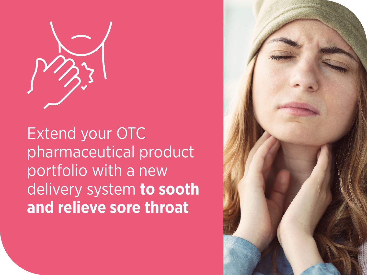

Extend your OTC pharmaceutical product portfolio with a new delivery system **to sooth and relieve sore throat**

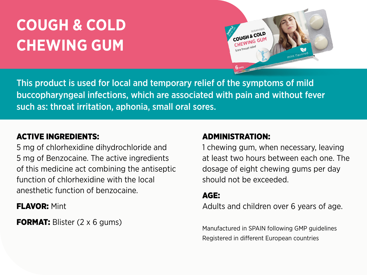## **COUGH & COLD CHEWING GUM**



This product is used for local and temporary relief of the symptoms of mild buccopharyngeal infections, which are associated with pain and without fever such as: throat irritation, aphonia, small oral sores.

### ACTIVE INGREDIENTS:

5 mg of chlorhexidine dihydrochloride and 5 mg of Benzocaine. The active ingredients of this medicine act combining the antiseptic function of chlorhexidine with the local anesthetic function of benzocaine.

**FLAVOR: Mint** 

**FORMAT:** Blister (2 x 6 gums)

#### ADMINISTRATION:

1 chewing gum, when necessary, leaving at least two hours between each one. The dosage of eight chewing gums per day should not be exceeded.

#### AGE:

Adults and children over 6 years of age.

Manufactured in SPAIN following GMP guidelines Registered in different European countries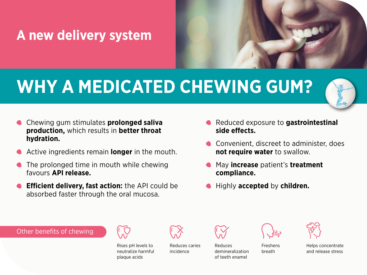### **A new delivery system**

# **WHY A MEDICATED CHEWING GUM?**



- Chewing gum stimulates **prolonged saliva production,** which results in **better throat hydration.**
- Active ingredients remain **longer** in the mouth.
- The prolonged time in mouth while chewing favours **API release.**
- **Efficient delivery, fast action:** the API could be absorbed faster through the oral mucosa.
- Reduced exposure to **gastrointestinal side effects.**
- Convenient, discreet to administer, does **not require water** to swallow.
- May **increase** patient's **treatment compliance.**
- Highly **accepted** by **children.**

Other benefits of chewing



Rises pH levels to neutralize harmful plaque acids

Reduces caries incidence







Freshens breath



Helps concentrate and release stress